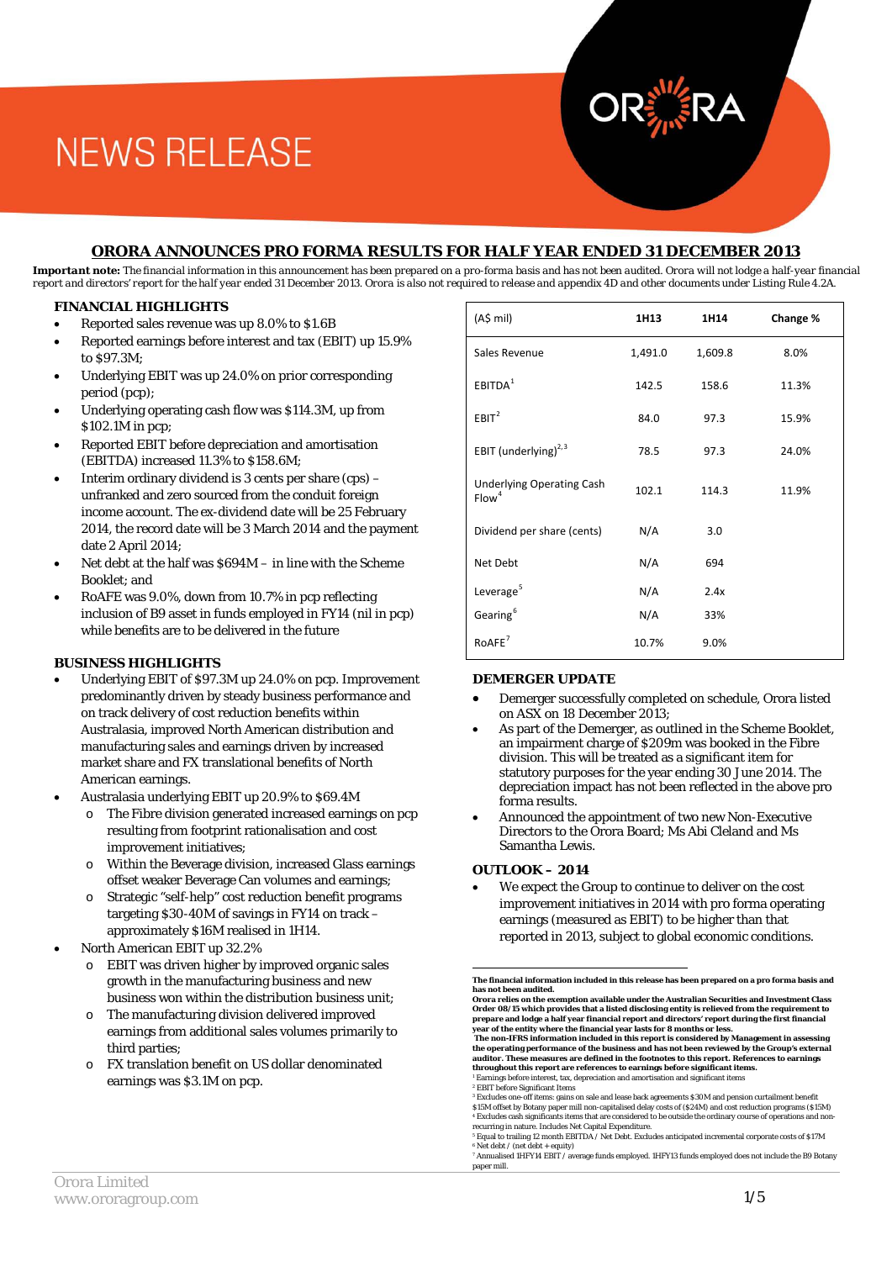#### **ORORA ANNOUNCES PRO FORMA RESULTS FOR HALF YEAR ENDED 31 DECEMBER 2013**

*Important note: The financial information in this announcement has been prepared on a pro-forma basis and has not been audited. Orora will not lodge a half-year financial report and directors' report for the half year ended 31 December 2013. Orora is also not required to release and appendix 4D and other documents under Listing Rule 4.2A.* 

#### **FINANCIAL HIGHLIGHTS**

- Reported sales revenue was up 8.0% to \$1.6B
- Reported earnings before interest and tax (EBIT) up 15.9% to \$97.3M;
- Underlying EBIT was up 24.0% on prior corresponding period (pcp);
- Underlying operating cash flow was \$114.3M, up from \$102.1M in pcp;
- Reported EBIT before depreciation and amortisation (EBITDA) increased 11.3% to \$158.6M;
- Interim ordinary dividend is 3 cents per share (cps) unfranked and zero sourced from the conduit foreign income account. The ex-dividend date will be 25 February 2014, the record date will be 3 March 2014 and the payment date 2 April 2014;
- Net debt at the half was  $$694M in$  line with the Scheme Booklet; and
- RoAFE was 9.0%, down from 10.7% in pcp reflecting inclusion of B9 asset in funds employed in FY14 (nil in pcp) while benefits are to be delivered in the future

#### **BUSINESS HIGHLIGHTS**

- Underlying EBIT of \$97.3M up 24.0% on pcp. Improvement predominantly driven by steady business performance and on track delivery of cost reduction benefits within Australasia, improved North American distribution and manufacturing sales and earnings driven by increased market share and FX translational benefits of North American earnings.
- Australasia underlying EBIT up 20.9% to \$69.4M
	- The Fibre division generated increased earnings on pcp resulting from footprint rationalisation and cost improvement initiatives;
	- o Within the Beverage division, increased Glass earnings offset weaker Beverage Can volumes and earnings;
	- o Strategic "self-help" cost reduction benefit programs targeting \$30-40M of savings in FY14 on track – approximately \$16M realised in 1H14.
- <span id="page-0-6"></span><span id="page-0-5"></span><span id="page-0-4"></span><span id="page-0-3"></span><span id="page-0-2"></span><span id="page-0-1"></span><span id="page-0-0"></span>• North American EBIT up 32.2%
	- o EBIT was driven higher by improved organic sales growth in the manufacturing business and new business won within the distribution business unit;
	- The manufacturing division delivered improved earnings from additional sales volumes primarily to third parties;
	- o FX translation benefit on US dollar denominated earnings was \$3.1M on pcp.

| (AS mil)                                              | 1H13    | 1H14    | Change % |
|-------------------------------------------------------|---------|---------|----------|
| Sales Revenue                                         | 1,491.0 | 1,609.8 | 8.0%     |
| EBITDA <sup>1</sup>                                   | 142.5   | 158.6   | 11.3%    |
| EBIT <sup>2</sup>                                     | 84.0    | 97.3    | 15.9%    |
| EBIT (underlying) $^{2,3}$                            | 78.5    | 97.3    | 24.0%    |
| <b>Underlying Operating Cash</b><br>Flow <sup>4</sup> | 102.1   | 114.3   | 11.9%    |
| Dividend per share (cents)                            | N/A     | 3.0     |          |
| Net Debt                                              | N/A     | 694     |          |
| Leverage <sup>5</sup>                                 | N/A     | 2.4x    |          |
| Gearing <sup>6</sup>                                  | N/A     | 33%     |          |
| RoAFE <sup>7</sup>                                    | 10.7%   | 9.0%    |          |

#### **DEMERGER UPDATE**

- Demerger successfully completed on schedule, Orora listed on ASX on 18 December 2013;
- As part of the Demerger, as outlined in the Scheme Booklet, an impairment charge of \$209m was booked in the Fibre division. This will be treated as a significant item for statutory purposes for the year ending 30 June 2014. The depreciation impact has not been reflected in the above pro forma results.
- Announced the appointment of two new Non-Executive Directors to the Orora Board; Ms Abi Cleland and Ms Samantha Lewis.

#### **OUTLOOK – 2014**

We expect the Group to continue to deliver on the cost improvement initiatives in 2014 with pro forma operating earnings (measured as EBIT) to be higher than that reported in 2013, subject to global economic conditions.

**the operating performance of the business and has not been reviewed by the Group's external auditor. These measures are defined in the footnotes to this report. References to earnings throughout this report are references to earnings before significant items.**<br><sup>1</sup> Earnings before interest, tax, depreciation and amortisation and significant items

<sup>2</sup> EBIT before Significant Items

**The financial information included in this release has been prepared on a pro forma basis and has not been audited.** 

**Orora relies on the exemption available under the Australian Securities and Investment Class Order 08/15 which provides that a listed disclosing entity is relieved from the requirement to**  prepare and lodge a half year financial report and directors' report during the first financial<br>year of the entity where the financial year lasts for 8 months or less.<br>The non-IFRS information included in this report is co

<sup>3</sup> Excludes one-off items: gains on sale and lease back agreements \$30M and pension curtailment benefit \$15M offset by Botany paper mill non-capitalised delay costs of (\$24M) and cost reduction programs (\$15M) <sup>4</sup> Excludes cash significants items that are considered to be outside the ordinary course of operations and nonrecurring in nature. Includes Net Capital Expenditure.

<sup>&</sup>lt;sup>s</sup> Equal to trailing 12 month EBITDA / Net Debt. Excludes anticipated incremental corporate costs of \$17M<br>\* Net debt / (net debt + equity)<br><sup>7</sup> Annualised 1HFY14 EBIT / average funds employed. 1HFY13 funds employed does no

paper mill.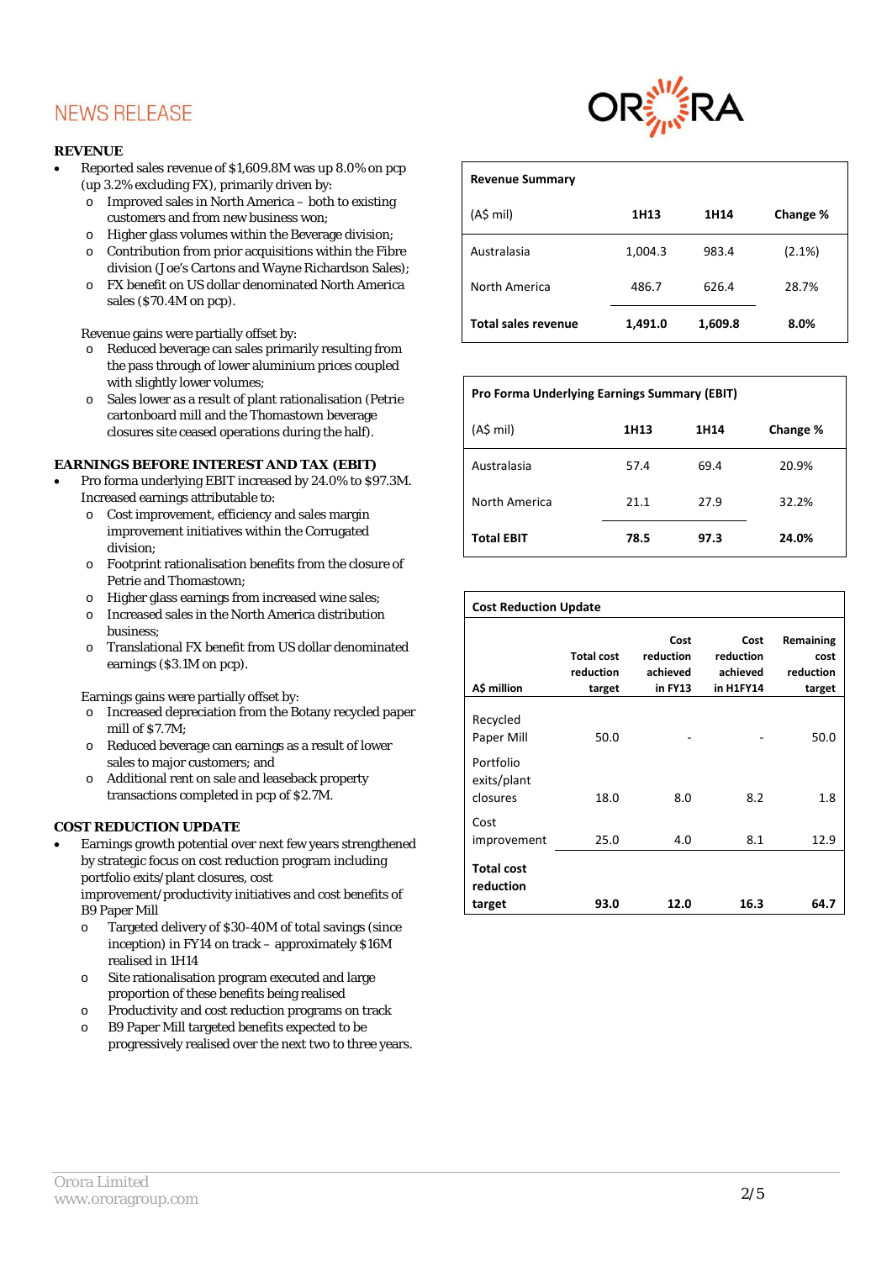#### **REVENUE**

- Reported sales revenue of \$1,609.8M was up 8.0% on pcp (up 3.2% excluding FX), primarily driven by:
	- o Improved sales in North America both to existing customers and from new business won;
	- o Higher glass volumes within the Beverage division;
	- o Contribution from prior acquisitions within the Fibre division (Joe's Cartons and Wayne Richardson Sales);
	- o FX benefit on US dollar denominated North America sales (\$70.4M on pcp).

Revenue gains were partially offset by:

- o Reduced beverage can sales primarily resulting from the pass through of lower aluminium prices coupled with slightly lower volumes;
- o Sales lower as a result of plant rationalisation (Petrie cartonboard mill and the Thomastown beverage closures site ceased operations during the half).

#### **EARNINGS BEFORE INTEREST AND TAX (EBIT)**

- Pro forma underlying EBIT increased by 24.0% to \$97.3M. Increased earnings attributable to:
	- o Cost improvement, efficiency and sales margin improvement initiatives within the Corrugated division;
	- o Footprint rationalisation benefits from the closure of Petrie and Thomastown;
	- o Higher glass earnings from increased wine sales;
	- o Increased sales in the North America distribution business;
	- o Translational FX benefit from US dollar denominated earnings (\$3.1M on pcp).

Earnings gains were partially offset by:

- o Increased depreciation from the Botany recycled paper mill of \$7.7M;
- o Reduced beverage can earnings as a result of lower sales to major customers; and
- o Additional rent on sale and leaseback property transactions completed in pcp of \$2.7M.

#### **COST REDUCTION UPDATE**

• Earnings growth potential over next few years strengthened by strategic focus on cost reduction program including portfolio exits/plant closures, cost improvement/productivity initiatives and cost benefits of

B9 Paper Mill

- o Targeted delivery of \$30-40M of total savings (since inception) in FY14 on track – approximately \$16M realised in 1H14
- o Site rationalisation program executed and large proportion of these benefits being realised
- o Productivity and cost reduction programs on track
- o B9 Paper Mill targeted benefits expected to be progressively realised over the next two to three years.



| <b>Revenue Summary</b> |         |         |           |
|------------------------|---------|---------|-----------|
| $(AS \text{ mil})$     | 1H13    | 1H14    | Change %  |
| Australasia            | 1,004.3 | 983.4   | $(2.1\%)$ |
| North America          | 486.7   | 626.4   | 28.7%     |
| Total sales revenue    | 1,491.0 | 1,609.8 | 8.0%      |

## **Pro Forma Underlying Earnings Summary (EBIT)**

| $(A\sinh)$        | 1H13 | 1H14 | Change % |
|-------------------|------|------|----------|
| Australasia       | 57.4 | 69.4 | 20.9%    |
| North America     | 21.1 | 27.9 | 32.2%    |
| <b>Total EBIT</b> | 78.5 | 97.3 | 24.0%    |

| <b>Cost Reduction Update</b>             |                                          |                                          |                                            |                                          |  |
|------------------------------------------|------------------------------------------|------------------------------------------|--------------------------------------------|------------------------------------------|--|
| A\$ million                              | <b>Total cost</b><br>reduction<br>target | Cost<br>reduction<br>achieved<br>in FY13 | Cost<br>reduction<br>achieved<br>in H1FY14 | Remaining<br>cost<br>reduction<br>target |  |
| Recycled<br>Paper Mill                   | 50.0                                     |                                          |                                            | 50.0                                     |  |
| Portfolio<br>exits/plant<br>closures     | 18.0                                     | 8.0                                      | 8.2                                        | 1.8                                      |  |
| Cost<br>improvement                      | 25.0                                     | 4.0                                      | 8.1                                        | 12.9                                     |  |
| <b>Total cost</b><br>reduction<br>target | 93.0                                     | 12.0                                     | 16.3                                       | 64.7                                     |  |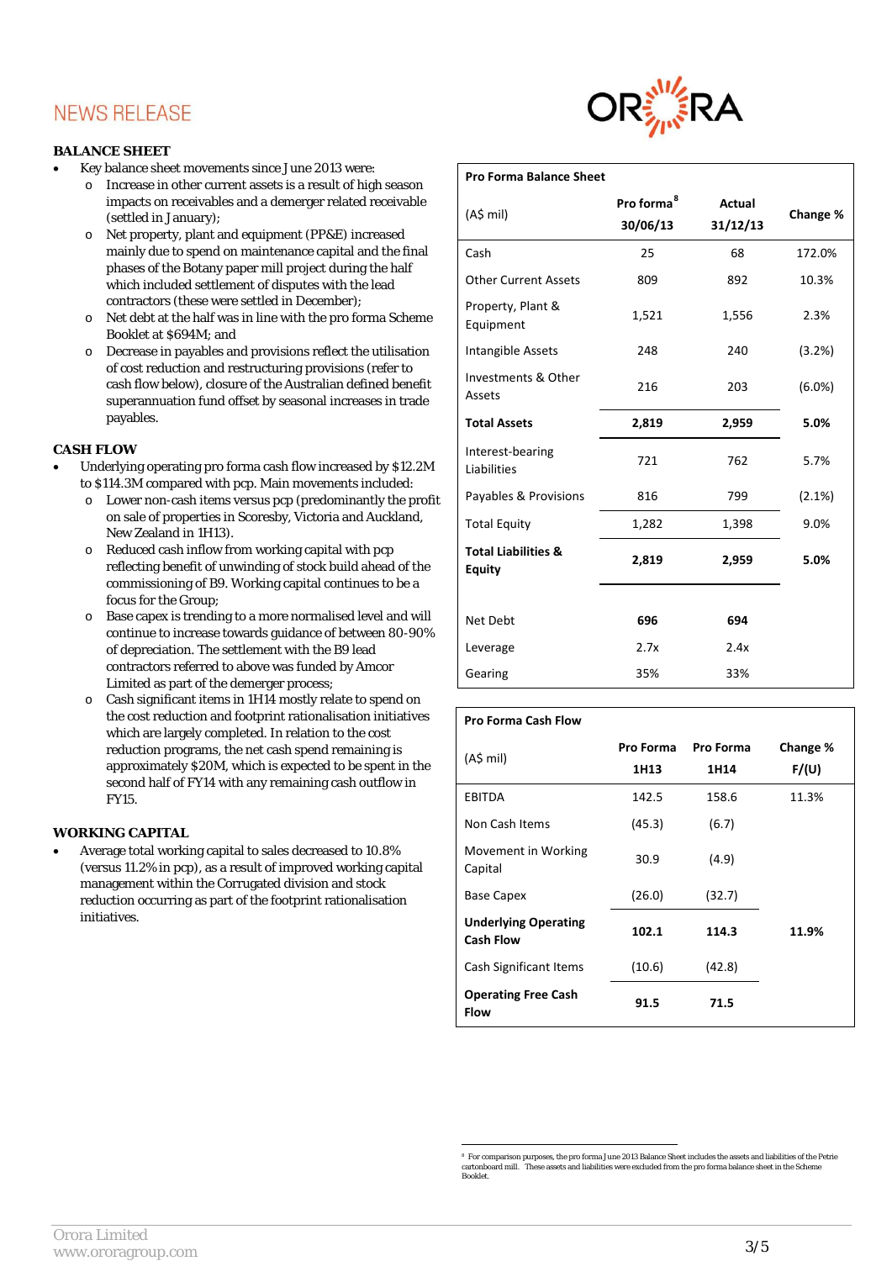#### **BALANCE SHEET**

- Key balance sheet movements since June 2013 were:
	- o Increase in other current assets is a result of high season impacts on receivables and a demerger related receivable (settled in January);
	- o Net property, plant and equipment (PP&E) increased mainly due to spend on maintenance capital and the final phases of the Botany paper mill project during the half which included settlement of disputes with the lead contractors (these were settled in December);
	- o Net debt at the half was in line with the pro forma Scheme Booklet at \$694M; and
	- o Decrease in payables and provisions reflect the utilisation of cost reduction and restructuring provisions (refer to cash flow below), closure of the Australian defined benefit superannuation fund offset by seasonal increases in trade payables.

## **CASH FLOW**

- Underlying operating pro forma cash flow increased by \$12.2M to \$114.3M compared with pcp. Main movements included:
	- o Lower non-cash items versus pcp (predominantly the profit on sale of properties in Scoresby, Victoria and Auckland, New Zealand in 1H13).
	- o Reduced cash inflow from working capital with pcp reflecting benefit of unwinding of stock build ahead of the commissioning of B9. Working capital continues to be a focus for the Group;
	- o Base capex is trending to a more normalised level and will continue to increase towards guidance of between 80-90% of depreciation. The settlement with the B9 lead contractors referred to above was funded by Amcor Limited as part of the demerger process;
	- o Cash significant items in 1H14 mostly relate to spend on the cost reduction and footprint rationalisation initiatives which are largely completed. In relation to the cost reduction programs, the net cash spend remaining is approximately \$20M, which is expected to be spent in the second half of FY14 with any remaining cash outflow in FY15.

#### **WORKING CAPITAL**

<span id="page-2-0"></span>• Average total working capital to sales decreased to 10.8% (versus 11.2% in pcp), as a result of improved working capital management within the Corrugated division and stock reduction occurring as part of the footprint rationalisation initiatives.



| <b>Pro Forma Balance Sheet</b>     |                           |           |
|------------------------------------|---------------------------|-----------|
| Pro forma <sup>8</sup><br>30/06/13 | <b>Actual</b><br>31/12/13 | Change %  |
| 25                                 | 68                        | 172.0%    |
| 809                                | 892                       | 10.3%     |
| 1,521                              | 1,556                     | 2.3%      |
| 248                                | 240                       | (3.2%)    |
| 216                                | 203                       | $(6.0\%)$ |
| 2,819                              | 2,959                     | 5.0%      |
| 721                                | 762                       | 5.7%      |
| 816                                | 799                       | (2.1%)    |
| 1,282                              | 1,398                     | 9.0%      |
| 2,819                              | 2,959                     | 5.0%      |
|                                    |                           |           |
| 696                                | 694                       |           |
| 2.7x                               | 2.4x                      |           |
| 35%                                | 33%                       |           |
|                                    |                           |           |

| <b>Pro Forma Cash Flow</b>                      |           |                  |              |
|-------------------------------------------------|-----------|------------------|--------------|
| $(AS \text{ mil})$                              | Pro Forma | <b>Pro Forma</b> | Change %     |
|                                                 | 1H13      | 1H14             | <b>F/(U)</b> |
| EBITDA                                          | 142.5     | 158.6            | 11.3%        |
| Non Cash Items                                  | (45.3)    | (6.7)            |              |
| Movement in Working<br>Capital                  | 30.9      | (4.9)            |              |
| <b>Base Capex</b>                               | (26.0)    | (32.7)           |              |
| <b>Underlying Operating</b><br><b>Cash Flow</b> | 102.1     | 114.3            | 11.9%        |
| Cash Significant Items                          | (10.6)    | (42.8)           |              |
| <b>Operating Free Cash</b><br><b>Flow</b>       | 91.5      | 71.5             |              |

 <sup>8</sup> For comparison purposes, the pro forma June 2013 Balance Sheet includes the assets and liabilities of the Petrie  $\arctan$  mill. These assets and liabilities were excluded from the pro forma balance sheet in the Sch Booklet.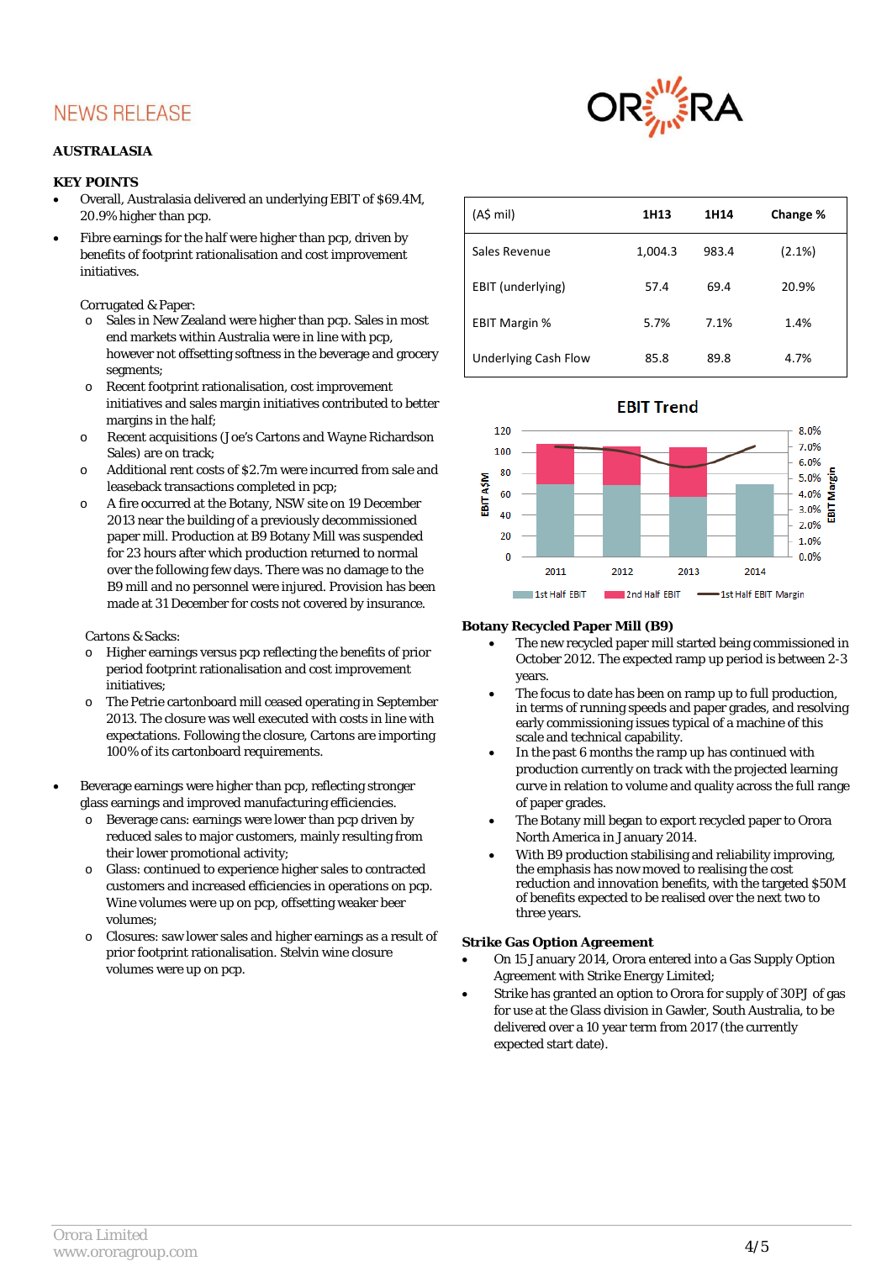#### **AUSTRALASIA**

#### **KEY POINTS**

- Overall, Australasia delivered an underlying EBIT of \$69.4M, 20.9% higher than pcp.
- Fibre earnings for the half were higher than pcp, driven by benefits of footprint rationalisation and cost improvement initiatives.

Corrugated & Paper:

- o Sales in New Zealand were higher than pcp. Sales in most end markets within Australia were in line with pcp, however not offsetting softness in the beverage and grocery segments;
- o Recent footprint rationalisation, cost improvement initiatives and sales margin initiatives contributed to better margins in the half;
- o Recent acquisitions (Joe's Cartons and Wayne Richardson Sales) are on track;
- o Additional rent costs of \$2.7m were incurred from sale and leaseback transactions completed in pcp;
- o A fire occurred at the Botany, NSW site on 19 December 2013 near the building of a previously decommissioned paper mill. Production at B9 Botany Mill was suspended for 23 hours after which production returned to normal over the following few days. There was no damage to the B9 mill and no personnel were injured. Provision has been made at 31 December for costs not covered by insurance.

#### Cartons & Sacks:

- o Higher earnings versus pcp reflecting the benefits of prior period footprint rationalisation and cost improvement initiatives;
- o The Petrie cartonboard mill ceased operating in September 2013. The closure was well executed with costs in line with expectations. Following the closure, Cartons are importing 100% of its cartonboard requirements.
- Beverage earnings were higher than pcp, reflecting stronger glass earnings and improved manufacturing efficiencies.
	- o Beverage cans: earnings were lower than pcp driven by reduced sales to major customers, mainly resulting from their lower promotional activity;
	- o Glass: continued to experience higher sales to contracted customers and increased efficiencies in operations on pcp. Wine volumes were up on pcp, offsetting weaker beer volumes;
	- Closures: saw lower sales and higher earnings as a result of prior footprint rationalisation. Stelvin wine closure volumes were up on pcp.



| $(A$$ mil)           | 1H13    | 1H14  | Change % |
|----------------------|---------|-------|----------|
| Sales Revenue        | 1,004.3 | 983.4 | (2.1%)   |
| EBIT (underlying)    | 57.4    | 69.4  | 20.9%    |
| <b>EBIT Margin %</b> | 5.7%    | 7.1%  | 1.4%     |
| Underlying Cash Flow | 85.8    | 89.8  | 4.7%     |





#### **Botany Recycled Paper Mill (B9)**

- The new recycled paper mill started being commissioned in October 2012. The expected ramp up period is between 2-3 years.
- The focus to date has been on ramp up to full production, in terms of running speeds and paper grades, and resolving early commissioning issues typical of a machine of this scale and technical capability.
- In the past 6 months the ramp up has continued with production currently on track with the projected learning curve in relation to volume and quality across the full range of paper grades.
- The Botany mill began to export recycled paper to Orora North America in January 2014.
- With B9 production stabilising and reliability improving, the emphasis has now moved to realising the cost reduction and innovation benefits, with the targeted \$50M of benefits expected to be realised over the next two to three years.

#### **Strike Gas Option Agreement**

- On 15 January 2014, Orora entered into a Gas Supply Option Agreement with Strike Energy Limited;
- Strike has granted an option to Orora for supply of 30PJ of gas for use at the Glass division in Gawler, South Australia, to be delivered over a 10 year term from 2017 (the currently expected start date).